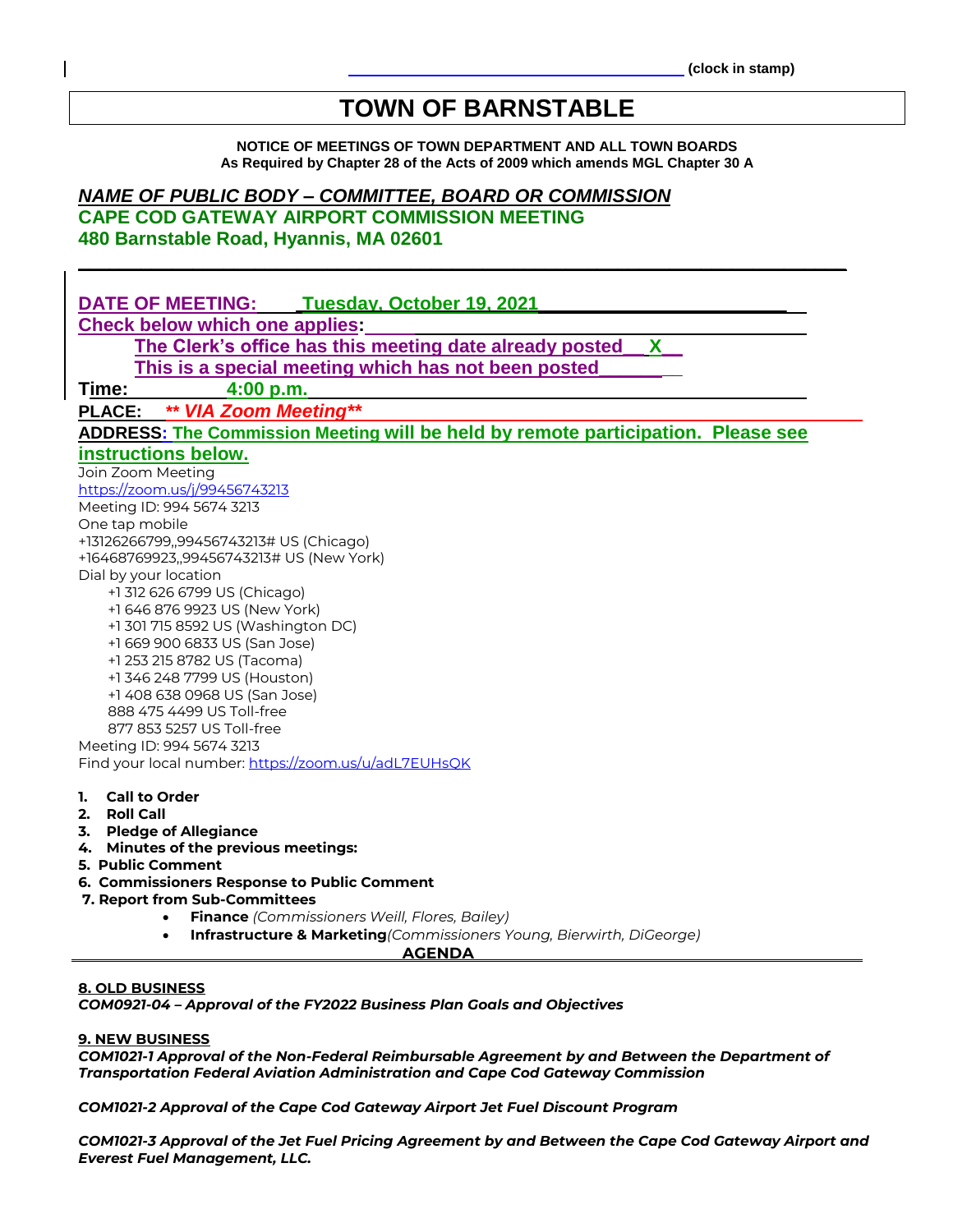# **TOWN OF BARNSTABLE**

**NOTICE OF MEETINGS OF TOWN DEPARTMENT AND ALL TOWN BOARDS As Required by Chapter 28 of the Acts of 2009 which amends MGL Chapter 30 A**

**\_\_\_\_\_\_\_\_\_\_\_\_\_\_\_\_\_\_\_\_\_\_\_\_\_\_\_\_\_\_\_\_\_\_\_\_\_\_\_\_\_\_\_\_\_\_\_\_\_\_\_\_\_\_\_\_\_\_\_\_\_\_\_\_\_\_\_\_\_\_\_\_\_\_**

# *NAME OF PUBLIC BODY – COMMITTEE, BOARD OR COMMISSION*

**CAPE COD GATEWAY AIRPORT COMMISSION MEETING 480 Barnstable Road, Hyannis, MA 02601**

| DATE OF MEETING:<br>Tuesday, October 19, 2021                                    |
|----------------------------------------------------------------------------------|
| Check below which one applies:                                                   |
| The Clerk's office has this meeting date already posted<br>$\mathsf{X}$          |
| This is a special meeting which has not been posted                              |
| 4:00 p.m.                                                                        |
| Time:                                                                            |
| ** VIA Zoom Meeting**<br><b>PLACE:</b>                                           |
| ADDRESS: The Commission Meeting will be held by remote participation. Please see |
| instructions below.                                                              |
| Join Zoom Meeting                                                                |
| https://zoom.us/j/99456743213                                                    |
| Meeting ID: 994 5674 3213                                                        |
| One tap mobile                                                                   |
| +13126266799,,99456743213# US (Chicago)                                          |
| +16468769923,,99456743213# US (New York)                                         |
| Dial by your location                                                            |
| +1 312 626 6799 US (Chicago)                                                     |
| +1 646 876 9923 US (New York)                                                    |
| +1 301 715 8592 US (Washington DC)                                               |
| +1 669 900 6833 US (San Jose)                                                    |
| +1 253 215 8782 US (Tacoma)                                                      |
| +1 346 248 7799 US (Houston)                                                     |
| +1 408 638 0968 US (San Jose)                                                    |
| 888 475 4499 US Toll-free                                                        |
| 877 853 5257 US Toll-free                                                        |
| Meeting ID: 994 5674 3213                                                        |
| Find your local number: https://zoom.us/u/adL7EUHsQK                             |
|                                                                                  |
| <b>Call to Order</b><br>1.                                                       |
| Roll Call<br>2.                                                                  |
| 3. Pledge of Allegiance                                                          |
| 4. Minutes of the previous meetings:<br>5. Public Comment                        |
|                                                                                  |
| 6. Commissioners Response to Public Comment                                      |
| 7. Report from Sub-Committees                                                    |

- **Finance** *(Commissioners Weill, Flores, Bailey)*
- **Infrastructure & Marketing***(Commissioners Young, Bierwirth, DiGeorge)*

 **AGENDA**

#### **8. OLD BUSINESS**

*COM0921-04 – Approval of the FY2022 Business Plan Goals and Objectives*

#### **9. NEW BUSINESS**

*COM1021-1 Approval of the Non-Federal Reimbursable Agreement by and Between the Department of Transportation Federal Aviation Administration and Cape Cod Gateway Commission*

*COM1021-2 Approval of the Cape Cod Gateway Airport Jet Fuel Discount Program*

*COM1021-3 Approval of the Jet Fuel Pricing Agreement by and Between the Cape Cod Gateway Airport and Everest Fuel Management, LLC.*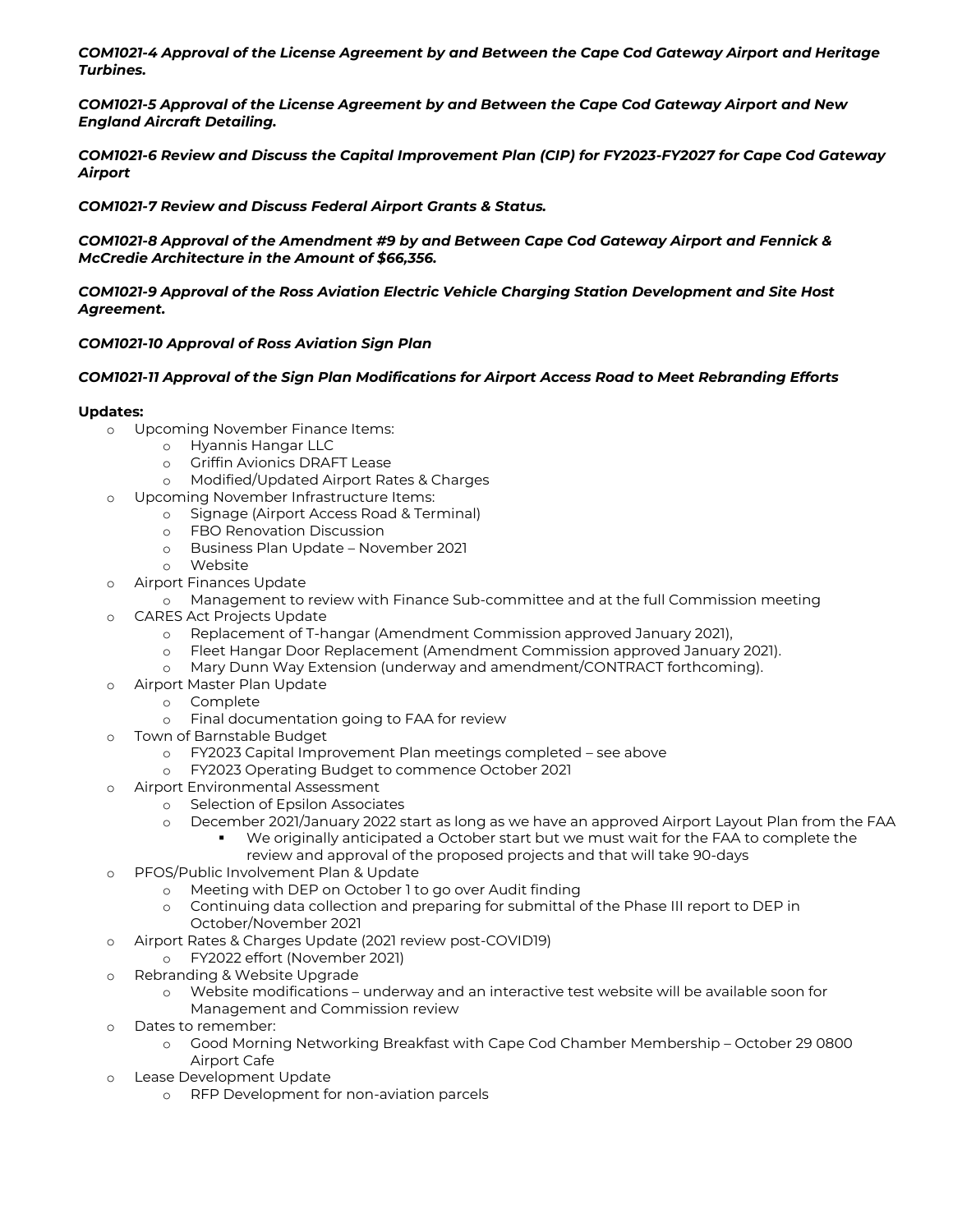*COM1021-4 Approval of the License Agreement by and Between the Cape Cod Gateway Airport and Heritage Turbines.*

*COM1021-5 Approval of the License Agreement by and Between the Cape Cod Gateway Airport and New England Aircraft Detailing.*

*COM1021-6 Review and Discuss the Capital Improvement Plan (CIP) for FY2023-FY2027 for Cape Cod Gateway Airport* 

*COM1021-7 Review and Discuss Federal Airport Grants & Status.*

*COM1021-8 Approval of the Amendment #9 by and Between Cape Cod Gateway Airport and Fennick & McCredie Architecture in the Amount of \$66,356.*

*COM1021-9 Approval of the Ross Aviation Electric Vehicle Charging Station Development and Site Host Agreement.*

# *COM1021-10 Approval of Ross Aviation Sign Plan*

# *COM1021-11 Approval of the Sign Plan Modifications for Airport Access Road to Meet Rebranding Efforts*

# **Updates:**

- o Upcoming November Finance Items:
	- o Hyannis Hangar LLC
	- o Griffin Avionics DRAFT Lease
	- o Modified/Updated Airport Rates & Charges
- o Upcoming November Infrastructure Items:
	- o Signage (Airport Access Road & Terminal)
	- o FBO Renovation Discussion
	- o Business Plan Update November 2021
	- o Website
- o Airport Finances Update
	- o Management to review with Finance Sub-committee and at the full Commission meeting
- o CARES Act Projects Update
	- o Replacement of T-hangar (Amendment Commission approved January 2021),
	- o Fleet Hangar Door Replacement (Amendment Commission approved January 2021).
	- o Mary Dunn Way Extension (underway and amendment/CONTRACT forthcoming).
- Airport Master Plan Update
	- o Complete
	- o Final documentation going to FAA for review
- o Town of Barnstable Budget
	- o FY2023 Capital Improvement Plan meetings completed see above
	- o FY2023 Operating Budget to commence October 2021
- Airport Environmental Assessment
	- o Selection of Epsilon Associates
	- o December 2021/January 2022 start as long as we have an approved Airport Layout Plan from the FAA
		- We originally anticipated a October start but we must wait for the FAA to complete the review and approval of the proposed projects and that will take 90-days
- o PFOS/Public Involvement Plan & Update
	- o Meeting with DEP on October 1 to go over Audit finding
	- Continuing data collection and preparing for submittal of the Phase III report to DEP in October/November 2021
- o Airport Rates & Charges Update (2021 review post-COVID19)
	- o FY2022 effort (November 2021)
- o Rebranding & Website Upgrade
	- Website modifications underway and an interactive test website will be available soon for Management and Commission review
- o Dates to remember:
	- o Good Morning Networking Breakfast with Cape Cod Chamber Membership October 29 0800 Airport Cafe
- o Lease Development Update
	- o RFP Development for non-aviation parcels